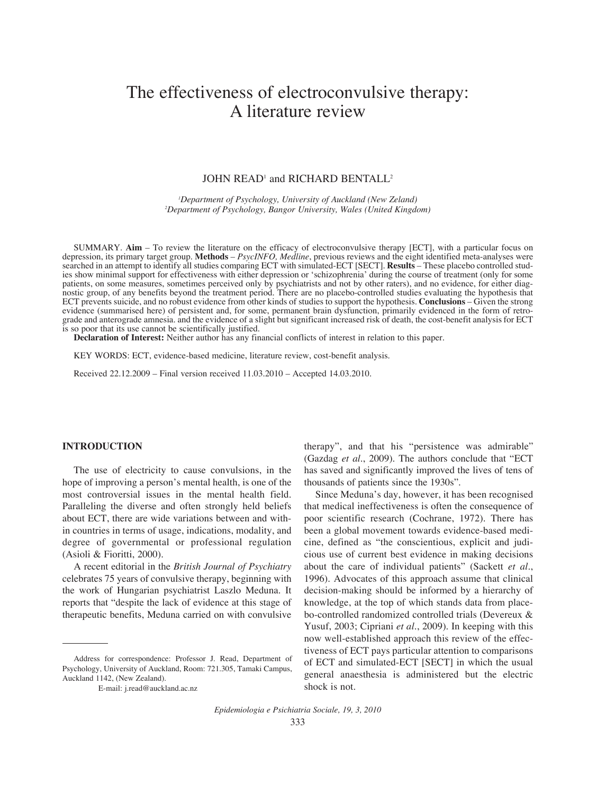# The effectiveness of electroconvulsive therapy: A literature review

# JOHN READ<sup>1</sup> and RICHARD BENTALL<sup>2</sup>

*1 Department of Psychology, University of Auckland (New Zeland) 2 Department of Psychology, Bangor University, Wales (United Kingdom)*

SUMMARY. **Aim** – To review the literature on the efficacy of electroconvulsive therapy [ECT], with a particular focus on depression, its primary target group. **Methods** – *PsycINFO, Medline*, previous reviews and the eight identified meta-analyses were searched in an attempt to identify all studies comparing ECT with simulated-ECT [SECT]. **Results** – These placebo controlled stud-<br>ies show minimal support for effectiveness with either depression or 'schizophrenia' during ies show minimal support for effectiveness with either depression or 'schizophrenia' during the course of treatment (only for some<br>patients, on some measures, sometimes perceived only by psychiatrists and not by other rate nostic group, of any benefits beyond the treatment period. There are no placebo-controlled studies evaluating the hypothesis that ECT prevents suicide, and no robust evidence from other kinds of studies to support the hypothesis. **Conclusions** – Given the strong evidence (summarised here) of persistent and, for some, permanent brain dysfunction, primarily evidenced in the form of retrograde and anterograde amnesia. and the evidence of a slight but significant increased risk of death, the cost-benefit analysis for ECT is so poor that its use cannot be scientifically justified.

**Declaration of Interest:** Neither author has any financial conflicts of interest in relation to this paper.

KEY WORDS: ECT, evidence-based medicine, literature review, cost-benefit analysis.

Received 22.12.2009 – Final version received 11.03.2010 – Accepted 14.03.2010.

## **INTRODUCTION**

The use of electricity to cause convulsions, in the hope of improving a person's mental health, is one of the most controversial issues in the mental health field. Paralleling the diverse and often strongly held beliefs about ECT, there are wide variations between and within countries in terms of usage, indications, modality, and degree of governmental or professional regulation (Asioli & Fioritti, 2000).

A recent editorial in the *British Journal of Psychiatry* celebrates 75 years of convulsive therapy, beginning with the work of Hungarian psychiatrist Laszlo Meduna. It reports that "despite the lack of evidence at this stage of therapeutic benefits, Meduna carried on with convulsive

therapy", and that his "persistence was admirable" (Gazdag *et al.*, 2009). The authors conclude that "ECT has saved and significantly improved the lives of tens of thousands of patients since the 1930s".

Since Meduna's day, however, it has been recognised that medical ineffectiveness is often the consequence of poor scientific research (Cochrane, 1972). There has been a global movement towards evidence-based medicine, defined as "the conscientious, explicit and judicious use of current best evidence in making decisions about the care of individual patients" (Sackett *et al.*, 1996). Advocates of this approach assume that clinical decision-making should be informed by a hierarchy of knowledge, at the top of which stands data from placebo-controlled randomized controlled trials (Devereux & Yusuf, 2003; Cipriani *et al.*, 2009). In keeping with this now well-established approach this review of the effectiveness of ECT pays particular attention to comparisons of ECT and simulated-ECT [SECT] in which the usual general anaesthesia is administered but the electric shock is not.

Address for correspondence: Professor J. Read, Department of Psychology, University of Auckland, Room: 721.305, Tamaki Campus, Auckland 1142, (New Zealand).

E-mail: j.read@auckland.ac.nz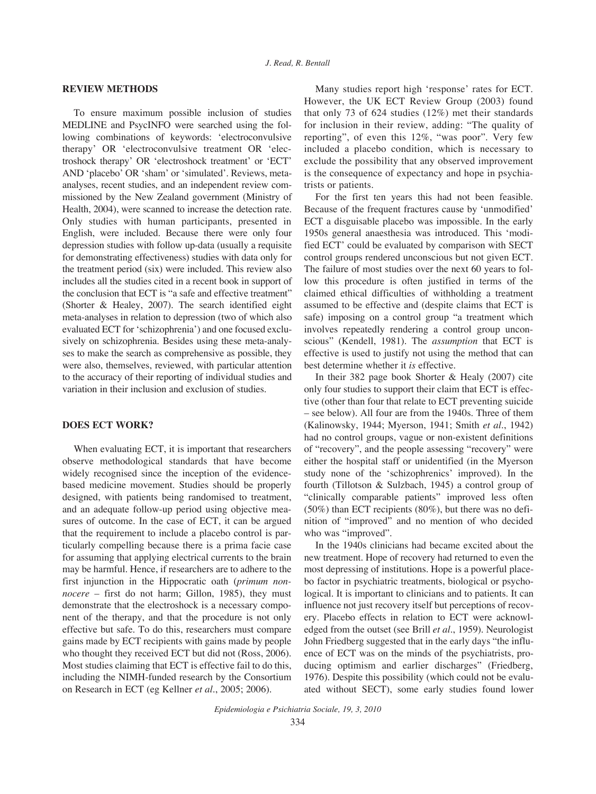## **REVIEW METHODS**

To ensure maximum possible inclusion of studies MEDLINE and PsycINFO were searched using the following combinations of keywords: 'electroconvulsive therapy' OR 'electroconvulsive treatment OR 'electroshock therapy' OR 'electroshock treatment' or 'ECT' AND 'placebo' OR 'sham' or 'simulated'. Reviews, metaanalyses, recent studies, and an independent review commissioned by the New Zealand government (Ministry of Health, 2004), were scanned to increase the detection rate. Only studies with human participants, presented in English, were included. Because there were only four depression studies with follow up-data (usually a requisite for demonstrating effectiveness) studies with data only for the treatment period (six) were included. This review also includes all the studies cited in a recent book in support of the conclusion that ECT is "a safe and effective treatment" (Shorter & Healey, 2007). The search identified eight meta-analyses in relation to depression (two of which also evaluated ECT for 'schizophrenia') and one focused exclusively on schizophrenia. Besides using these meta-analyses to make the search as comprehensive as possible, they were also, themselves, reviewed, with particular attention to the accuracy of their reporting of individual studies and variation in their inclusion and exclusion of studies.

#### **DOES ECT WORK?**

When evaluating ECT, it is important that researchers observe methodological standards that have become widely recognised since the inception of the evidencebased medicine movement. Studies should be properly designed, with patients being randomised to treatment, and an adequate follow-up period using objective measures of outcome. In the case of ECT, it can be argued that the requirement to include a placebo control is particularly compelling because there is a prima facie case for assuming that applying electrical currents to the brain may be harmful. Hence, if researchers are to adhere to the first injunction in the Hippocratic oath (*primum nonnocere* – first do not harm; Gillon, 1985), they must demonstrate that the electroshock is a necessary component of the therapy, and that the procedure is not only effective but safe. To do this, researchers must compare gains made by ECT recipients with gains made by people who thought they received ECT but did not (Ross, 2006). Most studies claiming that ECT is effective fail to do this, including the NIMH-funded research by the Consortium on Research in ECT (eg Kellner *et al.*, 2005; 2006).

Many studies report high 'response' rates for ECT. However, the UK ECT Review Group (2003) found that only 73 of 624 studies (12%) met their standards for inclusion in their review, adding: "The quality of reporting", of even this 12%, "was poor". Very few included a placebo condition, which is necessary to exclude the possibility that any observed improvement is the consequence of expectancy and hope in psychiatrists or patients.

For the first ten years this had not been feasible. Because of the frequent fractures cause by 'unmodified' ECT a disguisable placebo was impossible. In the early 1950s general anaesthesia was introduced. This 'modified ECT' could be evaluated by comparison with SECT control groups rendered unconscious but not given ECT. The failure of most studies over the next 60 years to follow this procedure is often justified in terms of the claimed ethical difficulties of withholding a treatment assumed to be effective and (despite claims that ECT is safe) imposing on a control group "a treatment which involves repeatedly rendering a control group unconscious" (Kendell, 1981). The *assumption* that ECT is effective is used to justify not using the method that can best determine whether it *is* effective.

In their 382 page book Shorter & Healy (2007) cite only four studies to support their claim that ECT is effective (other than four that relate to ECT preventing suicide – see below). All four are from the 1940s. Three of them (Kalinowsky, 1944; Myerson, 1941; Smith *et al.*, 1942) had no control groups, vague or non-existent definitions of "recovery", and the people assessing "recovery" were either the hospital staff or unidentified (in the Myerson study none of the 'schizophrenics' improved). In the fourth (Tillotson & Sulzbach, 1945) a control group of "clinically comparable patients" improved less often (50%) than ECT recipients (80%), but there was no definition of "improved" and no mention of who decided who was "improved".

In the 1940s clinicians had became excited about the new treatment. Hope of recovery had returned to even the most depressing of institutions. Hope is a powerful placebo factor in psychiatric treatments, biological or psychological. It is important to clinicians and to patients. It can influence not just recovery itself but perceptions of recovery. Placebo effects in relation to ECT were acknowledged from the outset (see Brill *et al.*, 1959). Neurologist John Friedberg suggested that in the early days "the influence of ECT was on the minds of the psychiatrists, producing optimism and earlier discharges" (Friedberg, 1976). Despite this possibility (which could not be evaluated without SECT), some early studies found lower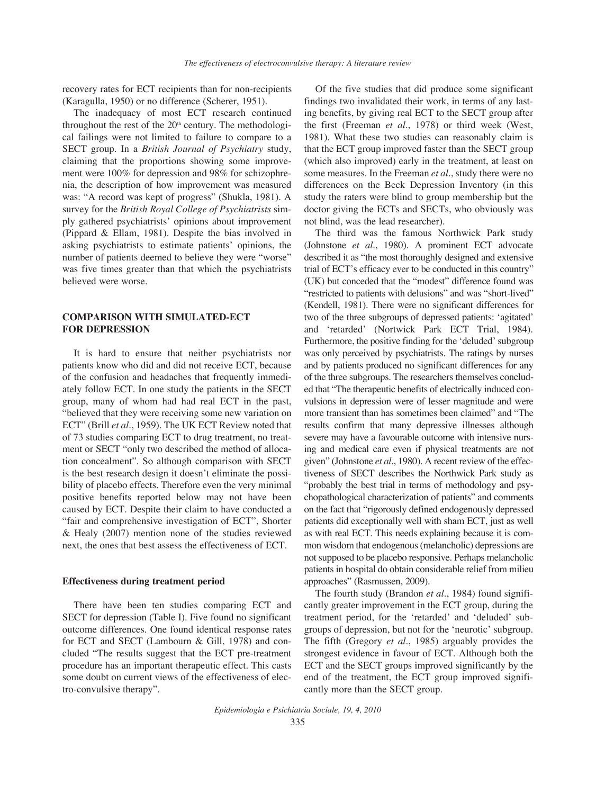recovery rates for ECT recipients than for non-recipients (Karagulla, 1950) or no difference (Scherer, 1951).

The inadequacy of most ECT research continued throughout the rest of the  $20<sup>th</sup>$  century. The methodological failings were not limited to failure to compare to a SECT group. In a *British Journal of Psychiatry* study, claiming that the proportions showing some improvement were 100% for depression and 98% for schizophrenia, the description of how improvement was measured was: "A record was kept of progress" (Shukla, 1981). A survey for the *British Royal College of Psychiatrists* simply gathered psychiatrists' opinions about improvement (Pippard & Ellam, 1981). Despite the bias involved in asking psychiatrists to estimate patients' opinions, the number of patients deemed to believe they were "worse" was five times greater than that which the psychiatrists believed were worse.

# **COMPARISON WITH SIMULATED-ECT FOR DEPRESSION**

It is hard to ensure that neither psychiatrists nor patients know who did and did not receive ECT, because of the confusion and headaches that frequently immediately follow ECT. In one study the patients in the SECT group, many of whom had had real ECT in the past, "believed that they were receiving some new variation on ECT" (Brill *et al.*, 1959). The UK ECT Review noted that of 73 studies comparing ECT to drug treatment, no treatment or SECT "only two described the method of allocation concealment". So although comparison with SECT is the best research design it doesn't eliminate the possibility of placebo effects. Therefore even the very minimal positive benefits reported below may not have been caused by ECT. Despite their claim to have conducted a "fair and comprehensive investigation of ECT", Shorter & Healy (2007) mention none of the studies reviewed next, the ones that best assess the effectiveness of ECT.

#### **Effectiveness during treatment period**

There have been ten studies comparing ECT and SECT for depression (Table I). Five found no significant outcome differences. One found identical response rates for ECT and SECT (Lambourn & Gill, 1978) and concluded "The results suggest that the ECT pre-treatment procedure has an important therapeutic effect. This casts some doubt on current views of the effectiveness of electro-convulsive therapy".

Of the five studies that did produce some significant findings two invalidated their work, in terms of any lasting benefits, by giving real ECT to the SECT group after the first (Freeman *et al.*, 1978) or third week (West, 1981). What these two studies can reasonably claim is that the ECT group improved faster than the SECT group (which also improved) early in the treatment, at least on some measures. In the Freeman *et al.*, study there were no differences on the Beck Depression Inventory (in this study the raters were blind to group membership but the doctor giving the ECTs and SECTs, who obviously was not blind, was the lead researcher).

The third was the famous Northwick Park study (Johnstone *et al.*, 1980). A prominent ECT advocate described it as "the most thoroughly designed and extensive trial of ECT's efficacy ever to be conducted in this country" (UK) but conceded that the "modest" difference found was "restricted to patients with delusions" and was "short-lived" (Kendell, 1981). There were no significant differences for two of the three subgroups of depressed patients: 'agitated' and 'retarded' (Nortwick Park ECT Trial, 1984). Furthermore, the positive finding for the 'deluded' subgroup was only perceived by psychiatrists. The ratings by nurses and by patients produced no significant differences for any of the three subgroups. The researchers themselves concluded that "The therapeutic benefits of electrically induced convulsions in depression were of lesser magnitude and were more transient than has sometimes been claimed" and "The results confirm that many depressive illnesses although severe may have a favourable outcome with intensive nursing and medical care even if physical treatments are not given" (Johnstone *et al.*, 1980). A recent review of the effectiveness of SECT describes the Northwick Park study as "probably the best trial in terms of methodology and psychopathological characterization of patients" and comments on the fact that "rigorously defined endogenously depressed patients did exceptionally well with sham ECT, just as well as with real ECT. This needs explaining because it is common wisdom that endogenous (melancholic) depressions are not supposed to be placebo responsive. Perhaps melancholic patients in hospital do obtain considerable relief from milieu approaches" (Rasmussen, 2009).

The fourth study (Brandon *et al.*, 1984) found significantly greater improvement in the ECT group, during the treatment period, for the 'retarded' and 'deluded' subgroups of depression, but not for the 'neurotic' subgroup. The fifth (Gregory *et al.*, 1985) arguably provides the strongest evidence in favour of ECT. Although both the ECT and the SECT groups improved significantly by the end of the treatment, the ECT group improved significantly more than the SECT group.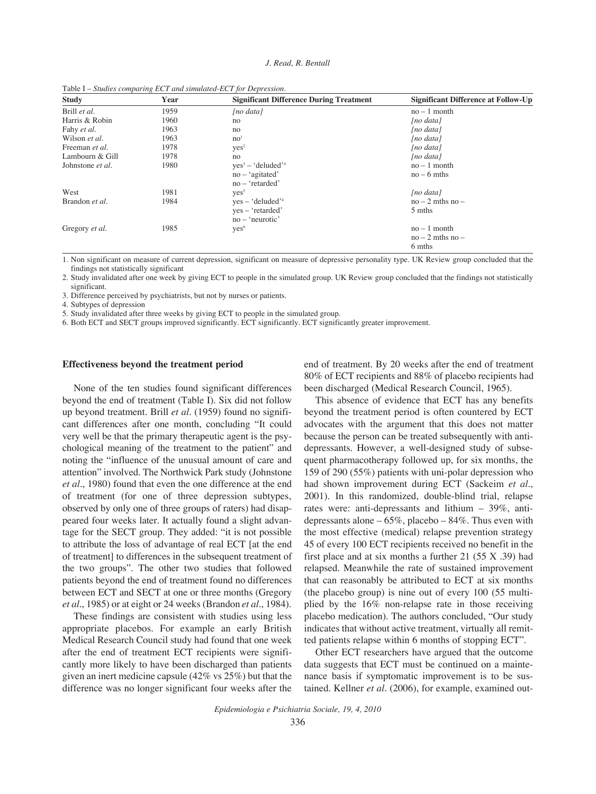| <b>Study</b>            | Year | <b>Significant Difference During Treatment</b> | <b>Significant Difference at Follow-Up</b> |
|-------------------------|------|------------------------------------------------|--------------------------------------------|
| Brill et al.            | 1959 | $[no\ data]$                                   | $no-1$ month                               |
| Harris & Robin          | 1960 | no                                             | [no data]                                  |
| Fahy et al.             | 1963 | no                                             | [no data]                                  |
| Wilson et al.           | 1963 | no <sup>1</sup>                                | [no data]                                  |
| Freeman <i>et al.</i>   | 1978 | yes <sup>2</sup>                               | [no data]                                  |
| Lambourn & Gill         | 1978 | no                                             | [no data]                                  |
| Johnstone <i>et al.</i> | 1980 | $ves^3 - 'deluded'^4$                          | $no-1$ month                               |
|                         |      | $no - 'agitated'$                              | $no-6$ mths                                |
|                         |      | $no$ – 'retarded'                              |                                            |
| West                    | 1981 | Yes <sup>5</sup>                               | $[no\ data]$                               |
| Brandon et al.          | 1984 | $ves - 'deluded'$                              | $no-2$ mths $no-$                          |
|                         |      | yes – 'retarded'                               | 5 mths                                     |
|                         |      | $no$ – 'neurotic'                              |                                            |
| Gregory et al.          | 1985 | yes <sup>6</sup>                               | $no-1$ month                               |
|                         |      |                                                | $no-2$ mths $no-$                          |
|                         |      |                                                | 6 mths                                     |

Table I – *Studies comparing ECT and simulated-ECT for Depression.*

1. Non significant on measure of current depression, significant on measure of depressive personality type. UK Review group concluded that the findings not statistically significant

2. Study invalidated after one week by giving ECT to people in the simulated group. UK Review group concluded that the findings not statistically significant.

3. Difference perceived by psychiatrists, but not by nurses or patients.

4. Subtypes of depression

5. Study invalidated after three weeks by giving ECT to people in the simulated group.

6. Both ECT and SECT groups improved significantly. ECT significantly. ECT significantly greater improvement.

#### **Effectiveness beyond the treatment period**

None of the ten studies found significant differences beyond the end of treatment (Table I). Six did not follow up beyond treatment. Brill *et al.* (1959) found no significant differences after one month, concluding "It could very well be that the primary therapeutic agent is the psychological meaning of the treatment to the patient" and noting the "influence of the unusual amount of care and attention" involved. The Northwick Park study (Johnstone *et al.*, 1980) found that even the one difference at the end of treatment (for one of three depression subtypes, observed by only one of three groups of raters) had disappeared four weeks later. It actually found a slight advantage for the SECT group. They added: "it is not possible to attribute the loss of advantage of real ECT [at the end of treatment] to differences in the subsequent treatment of the two groups". The other two studies that followed patients beyond the end of treatment found no differences between ECT and SECT at one or three months (Gregory *et al.*, 1985) or at eight or 24 weeks (Brandon *et al.*, 1984).

These findings are consistent with studies using less appropriate placebos. For example an early British Medical Research Council study had found that one week after the end of treatment ECT recipients were significantly more likely to have been discharged than patients given an inert medicine capsule (42% vs 25%) but that the difference was no longer significant four weeks after the

end of treatment. By 20 weeks after the end of treatment 80% of ECT recipients and 88% of placebo recipients had been discharged (Medical Research Council, 1965).

This absence of evidence that ECT has any benefits beyond the treatment period is often countered by ECT advocates with the argument that this does not matter because the person can be treated subsequently with antidepressants. However, a well-designed study of subsequent pharmacotherapy followed up, for six months, the 159 of 290 (55%) patients with uni-polar depression who had shown improvement during ECT (Sackeim *et al.*, 2001). In this randomized, double-blind trial, relapse rates were: anti-depressants and lithium – 39%, antidepressants alone  $-65\%$ , placebo  $-84\%$ . Thus even with the most effective (medical) relapse prevention strategy 45 of every 100 ECT recipients received no benefit in the first place and at six months a further  $21$  (55 X .39) had relapsed. Meanwhile the rate of sustained improvement that can reasonably be attributed to ECT at six months (the placebo group) is nine out of every 100 (55 multiplied by the 16% non-relapse rate in those receiving placebo medication). The authors concluded, "Our study indicates that without active treatment, virtually all remitted patients relapse within 6 months of stopping ECT".

Other ECT researchers have argued that the outcome data suggests that ECT must be continued on a maintenance basis if symptomatic improvement is to be sustained. Kellner *et al.* (2006), for example, examined out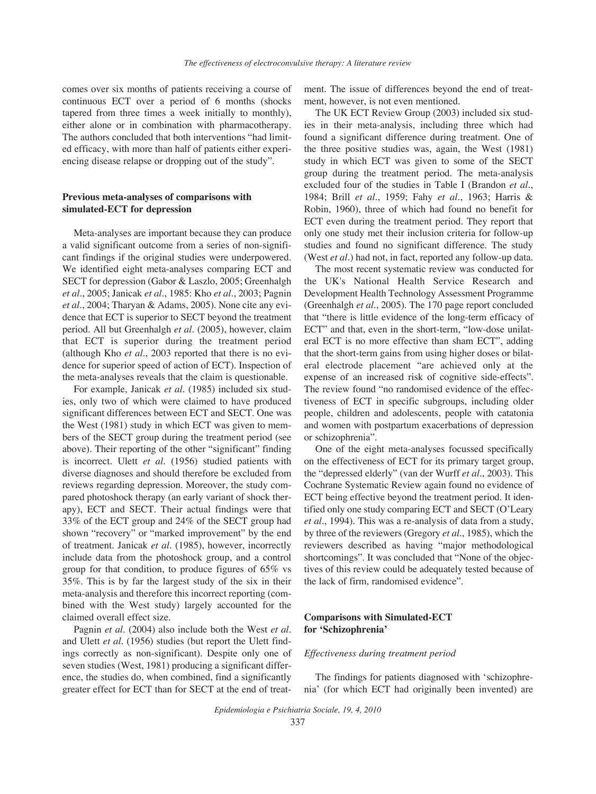comes over six months of patients receiving a course of continuous ECT over a period of 6 months (shocks tapered from three times a week initially to monthly), either alone or in combination with pharmacotherapy. The authors concluded that both interventions "had limited efficacy, with more than half of patients either experiencing disease relapse or dropping out of the study".

# **Previous meta-analyses of comparisons with simulated-ECT for depression**

Meta-analyses are important because they can produce a valid significant outcome from a series of non-significant findings if the original studies were underpowered. We identified eight meta-analyses comparing ECT and SECT for depression (Gabor & Laszlo, 2005; Greenhalgh *et al.*, 2005; Janicak *et al.*, 1985: Kho *et al.*, 2003; Pagnin *et al.*, 2004; Tharyan & Adams, 2005). None cite any evidence that ECT is superior to SECT beyond the treatment period. All but Greenhalgh *et al.* (2005), however, claim that ECT is superior during the treatment period (although Kho *et al.*, 2003 reported that there is no evidence for superior speed of action of ECT). Inspection of the meta-analyses reveals that the claim is questionable.

For example, Janicak *et al.* (1985) included six studies, only two of which were claimed to have produced significant differences between ECT and SECT. One was the West (1981) study in which ECT was given to members of the SECT group during the treatment period (see above). Their reporting of the other "significant" finding is incorrect. Ulett *et al.* (1956) studied patients with diverse diagnoses and should therefore be excluded from reviews regarding depression. Moreover, the study compared photoshock therapy (an early variant of shock therapy), ECT and SECT. Their actual findings were that 33% of the ECT group and 24% of the SECT group had shown "recovery" or "marked improvement" by the end of treatment. Janicak *et al.* (1985), however, incorrectly include data from the photoshock group, and a control group for that condition, to produce figures of 65% vs 35%. This is by far the largest study of the six in their meta-analysis and therefore this incorrect reporting (combined with the West study) largely accounted for the claimed overall effect size.

Pagnin *et al.* (2004) also include both the West *et al.* and Ulett *et al.* (1956) studies (but report the Ulett findings correctly as non-significant). Despite only one of seven studies (West, 1981) producing a significant difference, the studies do, when combined, find a significantly greater effect for ECT than for SECT at the end of treatment. The issue of differences beyond the end of treatment, however, is not even mentioned.

The UK ECT Review Group (2003) included six studies in their meta-analysis, including three which had found a significant difference during treatment. One of the three positive studies was, again, the West (1981) study in which ECT was given to some of the SECT group during the treatment period. The meta-analysis excluded four of the studies in Table I (Brandon *et al.*, 1984; Brill *et al.*, 1959; Fahy *et al.*, 1963; Harris & Robin, 1960), three of which had found no benefit for ECT even during the treatment period. They report that only one study met their inclusion criteria for follow-up studies and found no significant difference. The study (West *et al.*) had not, in fact, reported any follow-up data.

The most recent systematic review was conducted for the UK's National Health Service Research and Development Health Technology Assessment Programme (Greenhalgh *et al.*, 2005). The 170 page report concluded that "there is little evidence of the long-term efficacy of ECT" and that, even in the short-term, "low-dose unilateral ECT is no more effective than sham ECT", adding that the short-term gains from using higher doses or bilateral electrode placement "are achieved only at the expense of an increased risk of cognitive side-effects". The review found "no randomised evidence of the effectiveness of ECT in specific subgroups, including older people, children and adolescents, people with catatonia and women with postpartum exacerbations of depression or schizophrenia".

One of the eight meta-analyses focussed specifically on the effectiveness of ECT for its primary target group, the "depressed elderly" (van der Wurff *et al.*, 2003). This Cochrane Systematic Review again found no evidence of ECT being effective beyond the treatment period. It identified only one study comparing ECT and SECT (O'Leary *et al.*, 1994). This was a re-analysis of data from a study, by three of the reviewers (Gregory *et al.*, 1985), which the reviewers described as having "major methodological shortcomings". It was concluded that "None of the objectives of this review could be adequately tested because of the lack of firm, randomised evidence".

# **Comparisons with Simulated-ECT for 'Schizophrenia'**

#### *Effectiveness during treatment period*

The findings for patients diagnosed with 'schizophrenia' (for which ECT had originally been invented) are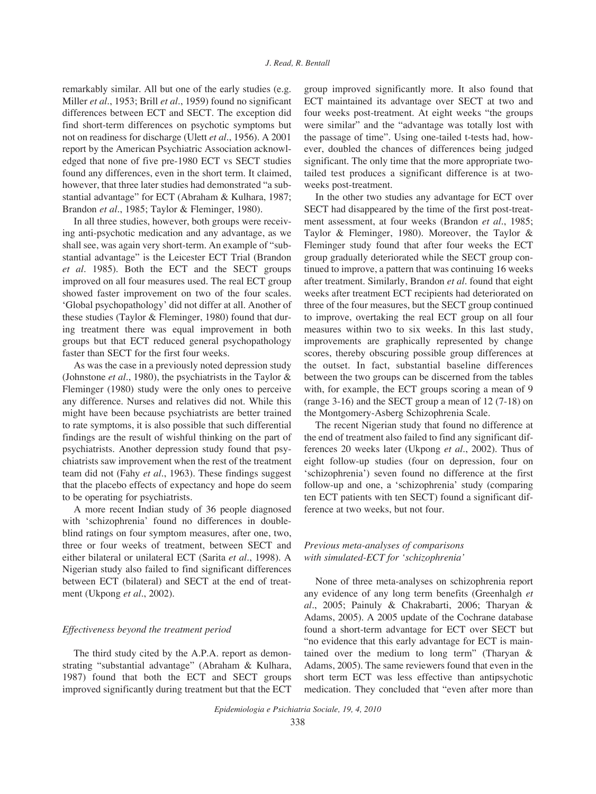remarkably similar. All but one of the early studies (e.g. Miller *et al.*, 1953; Brill *et al.*, 1959) found no significant differences between ECT and SECT. The exception did find short-term differences on psychotic symptoms but not on readiness for discharge (Ulett *et al.*, 1956). A 2001 report by the American Psychiatric Association acknowledged that none of five pre-1980 ECT vs SECT studies found any differences, even in the short term. It claimed, however, that three later studies had demonstrated "a substantial advantage" for ECT (Abraham & Kulhara, 1987; Brandon *et al.*, 1985; Taylor & Fleminger, 1980).

In all three studies, however, both groups were receiving anti-psychotic medication and any advantage, as we shall see, was again very short-term. An example of "substantial advantage" is the Leicester ECT Trial (Brandon *et al.* 1985). Both the ECT and the SECT groups improved on all four measures used. The real ECT group showed faster improvement on two of the four scales. 'Global psychopathology' did not differ at all. Another of these studies (Taylor & Fleminger, 1980) found that during treatment there was equal improvement in both groups but that ECT reduced general psychopathology faster than SECT for the first four weeks.

As was the case in a previously noted depression study (Johnstone *et al.*, 1980), the psychiatrists in the Taylor & Fleminger (1980) study were the only ones to perceive any difference. Nurses and relatives did not. While this might have been because psychiatrists are better trained to rate symptoms, it is also possible that such differential findings are the result of wishful thinking on the part of psychiatrists. Another depression study found that psychiatrists saw improvement when the rest of the treatment team did not (Fahy *et al.*, 1963). These findings suggest that the placebo effects of expectancy and hope do seem to be operating for psychiatrists.

A more recent Indian study of 36 people diagnosed with 'schizophrenia' found no differences in doubleblind ratings on four symptom measures, after one, two, three or four weeks of treatment, between SECT and either bilateral or unilateral ECT (Sarita *et al.*, 1998). A Nigerian study also failed to find significant differences between ECT (bilateral) and SECT at the end of treatment (Ukpong *et al.*, 2002).

## *Effectiveness beyond the treatment period*

The third study cited by the A.P.A. report as demonstrating "substantial advantage" (Abraham & Kulhara, 1987) found that both the ECT and SECT groups improved significantly during treatment but that the ECT group improved significantly more. It also found that ECT maintained its advantage over SECT at two and four weeks post-treatment. At eight weeks "the groups were similar" and the "advantage was totally lost with the passage of time". Using one-tailed t-tests had, however, doubled the chances of differences being judged significant. The only time that the more appropriate twotailed test produces a significant difference is at twoweeks post-treatment.

In the other two studies any advantage for ECT over SECT had disappeared by the time of the first post-treatment assessment, at four weeks (Brandon *et al.*, 1985; Taylor & Fleminger, 1980). Moreover, the Taylor & Fleminger study found that after four weeks the ECT group gradually deteriorated while the SECT group continued to improve, a pattern that was continuing 16 weeks after treatment. Similarly, Brandon *et al.* found that eight weeks after treatment ECT recipients had deteriorated on three of the four measures, but the SECT group continued to improve, overtaking the real ECT group on all four measures within two to six weeks. In this last study, improvements are graphically represented by change scores, thereby obscuring possible group differences at the outset. In fact, substantial baseline differences between the two groups can be discerned from the tables with, for example, the ECT groups scoring a mean of 9 (range 3-16) and the SECT group a mean of 12 (7-18) on the Montgomery-Asberg Schizophrenia Scale.

The recent Nigerian study that found no difference at the end of treatment also failed to find any significant differences 20 weeks later (Ukpong *et al.*, 2002). Thus of eight follow-up studies (four on depression, four on 'schizophrenia') seven found no difference at the first follow-up and one, a 'schizophrenia' study (comparing ten ECT patients with ten SECT) found a significant difference at two weeks, but not four.

# *Previous meta-analyses of comparisons with simulated-ECT for 'schizophrenia'*

None of three meta-analyses on schizophrenia report any evidence of any long term benefits (Greenhalgh *et al.*, 2005; Painuly & Chakrabarti, 2006; Tharyan & Adams, 2005). A 2005 update of the Cochrane database found a short-term advantage for ECT over SECT but "no evidence that this early advantage for ECT is maintained over the medium to long term" (Tharyan & Adams, 2005). The same reviewers found that even in the short term ECT was less effective than antipsychotic medication. They concluded that "even after more than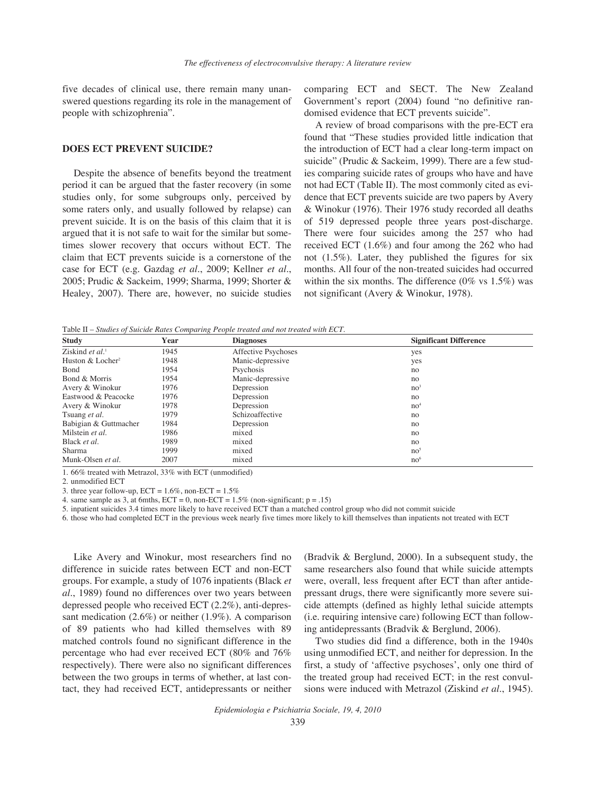five decades of clinical use, there remain many unanswered questions regarding its role in the management of people with schizophrenia".

## **DOES ECT PREVENT SUICIDE?**

Despite the absence of benefits beyond the treatment period it can be argued that the faster recovery (in some studies only, for some subgroups only, perceived by some raters only, and usually followed by relapse) can prevent suicide. It is on the basis of this claim that it is argued that it is not safe to wait for the similar but sometimes slower recovery that occurs without ECT. The claim that ECT prevents suicide is a cornerstone of the case for ECT (e.g. Gazdag *et al.*, 2009; Kellner *et al.*, 2005; Prudic & Sackeim, 1999; Sharma, 1999; Shorter & Healey, 2007). There are, however, no suicide studies

comparing ECT and SECT. The New Zealand Government's report (2004) found "no definitive randomised evidence that ECT prevents suicide".

A review of broad comparisons with the pre-ECT era found that "These studies provided little indication that the introduction of ECT had a clear long-term impact on suicide" (Prudic & Sackeim, 1999). There are a few studies comparing suicide rates of groups who have and have not had ECT (Table II). The most commonly cited as evidence that ECT prevents suicide are two papers by Avery & Winokur (1976). Their 1976 study recorded all deaths of 519 depressed people three years post-discharge. There were four suicides among the 257 who had received ECT (1.6%) and four among the 262 who had not (1.5%). Later, they published the figures for six months. All four of the non-treated suicides had occurred within the six months. The difference  $(0\% \text{ vs } 1.5\%)$  was not significant (Avery & Winokur, 1978).

Table II – *Studies of Suicide Rates Comparing People treated and not treated with ECT.*

| <b>Study</b>                   | Year | <b>Diagnoses</b>    | <b>Significant Difference</b> |
|--------------------------------|------|---------------------|-------------------------------|
| Ziskind et $al$ <sup>1</sup>   | 1945 | Affective Psychoses | yes                           |
| Huston $&$ Locher <sup>2</sup> | 1948 | Manic-depressive    | yes                           |
| <b>B</b> ond                   | 1954 | Psychosis           | no                            |
| Bond & Morris                  | 1954 | Manic-depressive    | no                            |
| Avery & Winokur                | 1976 | Depression          | no <sup>3</sup>               |
| Eastwood & Peacocke            | 1976 | Depression          | no                            |
| Avery & Winokur                | 1978 | Depression          | no <sup>4</sup>               |
| Tsuang et al.                  | 1979 | Schizoaffective     | no                            |
| Babigian & Guttmacher          | 1984 | Depression          | no                            |
| Milstein et al.                | 1986 | mixed               | no                            |
| Black et al.                   | 1989 | mixed               | no                            |
| Sharma                         | 1999 | mixed               | no <sup>5</sup>               |
| Munk-Olsen et al.              | 2007 | mixed               | no <sup>6</sup>               |

1. 66% treated with Metrazol, 33% with ECT (unmodified)

2. unmodified ECT

3. three year follow-up,  $ECT = 1.6\%$ , non- $ECT = 1.5\%$ 

4. same sample as 3, at 6mths,  $ECT = 0$ , non- $ECT = 1.5\%$  (non-significant; p = .15)

5. inpatient suicides 3.4 times more likely to have received ECT than a matched control group who did not commit suicide

6. those who had completed ECT in the previous week nearly five times more likely to kill themselves than inpatients not treated with ECT

Like Avery and Winokur, most researchers find no difference in suicide rates between ECT and non-ECT groups. For example, a study of 1076 inpatients (Black *et al.*, 1989) found no differences over two years between depressed people who received ECT (2.2%), anti-depressant medication (2.6%) or neither (1.9%). A comparison of 89 patients who had killed themselves with 89 matched controls found no significant difference in the percentage who had ever received ECT (80% and 76% respectively). There were also no significant differences between the two groups in terms of whether, at last contact, they had received ECT, antidepressants or neither

(Bradvik & Berglund, 2000). In a subsequent study, the same researchers also found that while suicide attempts were, overall, less frequent after ECT than after antidepressant drugs, there were significantly more severe suicide attempts (defined as highly lethal suicide attempts (i.e. requiring intensive care) following ECT than following antidepressants (Bradvik & Berglund, 2006).

Two studies did find a difference, both in the 1940s using unmodified ECT, and neither for depression. In the first, a study of 'affective psychoses', only one third of the treated group had received ECT; in the rest convulsions were induced with Metrazol (Ziskind *et al.*, 1945).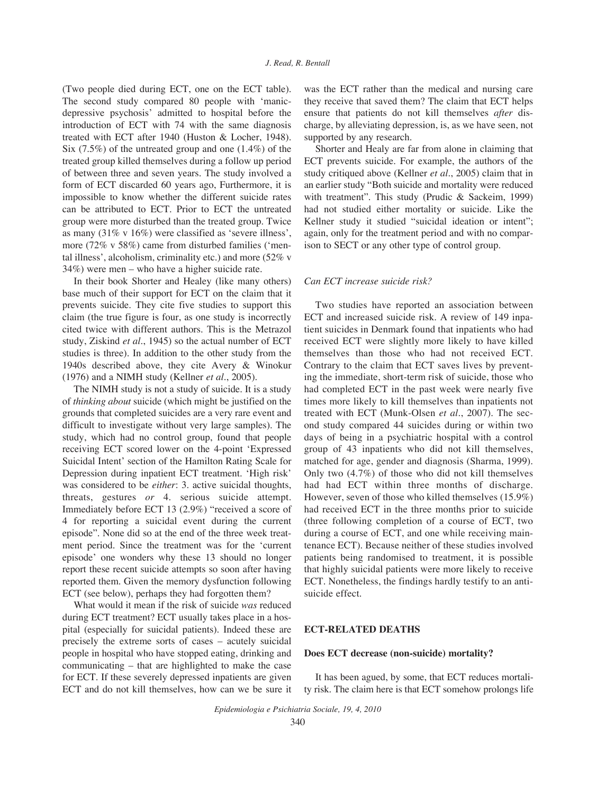(Two people died during ECT, one on the ECT table). The second study compared 80 people with 'manicdepressive psychosis' admitted to hospital before the introduction of ECT with 74 with the same diagnosis treated with ECT after 1940 (Huston & Locher, 1948). Six (7.5%) of the untreated group and one (1.4%) of the treated group killed themselves during a follow up period of between three and seven years. The study involved a form of ECT discarded 60 years ago, Furthermore, it is impossible to know whether the different suicide rates can be attributed to ECT. Prior to ECT the untreated group were more disturbed than the treated group. Twice as many (31% v 16%) were classified as 'severe illness', more (72% v 58%) came from disturbed families ('mental illness', alcoholism, criminality etc.) and more (52% v 34%) were men – who have a higher suicide rate.

In their book Shorter and Healey (like many others) base much of their support for ECT on the claim that it prevents suicide. They cite five studies to support this claim (the true figure is four, as one study is incorrectly cited twice with different authors. This is the Metrazol study, Ziskind *et al.*, 1945) so the actual number of ECT studies is three). In addition to the other study from the 1940s described above, they cite Avery & Winokur (1976) and a NIMH study (Kellner *et al.*, 2005).

The NIMH study is not a study of suicide. It is a study of *thinking about* suicide (which might be justified on the grounds that completed suicides are a very rare event and difficult to investigate without very large samples). The study, which had no control group, found that people receiving ECT scored lower on the 4-point 'Expressed Suicidal Intent' section of the Hamilton Rating Scale for Depression during inpatient ECT treatment. 'High risk' was considered to be *either*: 3. active suicidal thoughts, threats, gestures *or* 4. serious suicide attempt. Immediately before ECT 13 (2.9%) "received a score of 4 for reporting a suicidal event during the current episode". None did so at the end of the three week treatment period. Since the treatment was for the 'current episode' one wonders why these 13 should no longer report these recent suicide attempts so soon after having reported them. Given the memory dysfunction following ECT (see below), perhaps they had forgotten them?

What would it mean if the risk of suicide *was* reduced during ECT treatment? ECT usually takes place in a hospital (especially for suicidal patients). Indeed these are precisely the extreme sorts of cases – acutely suicidal people in hospital who have stopped eating, drinking and communicating – that are highlighted to make the case for ECT. If these severely depressed inpatients are given ECT and do not kill themselves, how can we be sure it

was the ECT rather than the medical and nursing care they receive that saved them? The claim that ECT helps ensure that patients do not kill themselves *after* discharge, by alleviating depression, is, as we have seen, not supported by any research.

Shorter and Healy are far from alone in claiming that ECT prevents suicide. For example, the authors of the study critiqued above (Kellner *et al.*, 2005) claim that in an earlier study "Both suicide and mortality were reduced with treatment". This study (Prudic & Sackeim, 1999) had not studied either mortality or suicide. Like the Kellner study it studied "suicidal ideation or intent"; again, only for the treatment period and with no comparison to SECT or any other type of control group.

#### *Can ECT increase suicide risk?*

Two studies have reported an association between ECT and increased suicide risk. A review of 149 inpatient suicides in Denmark found that inpatients who had received ECT were slightly more likely to have killed themselves than those who had not received ECT. Contrary to the claim that ECT saves lives by preventing the immediate, short-term risk of suicide, those who had completed ECT in the past week were nearly five times more likely to kill themselves than inpatients not treated with ECT (Munk-Olsen *et al.*, 2007). The second study compared 44 suicides during or within two days of being in a psychiatric hospital with a control group of 43 inpatients who did not kill themselves, matched for age, gender and diagnosis (Sharma, 1999). Only two (4.7%) of those who did not kill themselves had had ECT within three months of discharge. However, seven of those who killed themselves (15.9%) had received ECT in the three months prior to suicide (three following completion of a course of ECT, two during a course of ECT, and one while receiving maintenance ECT). Because neither of these studies involved patients being randomised to treatment, it is possible that highly suicidal patients were more likely to receive ECT. Nonetheless, the findings hardly testify to an antisuicide effect.

## **ECT-RELATED DEATHS**

## **Does ECT decrease (non-suicide) mortality?**

It has been agued, by some, that ECT reduces mortality risk. The claim here is that ECT somehow prolongs life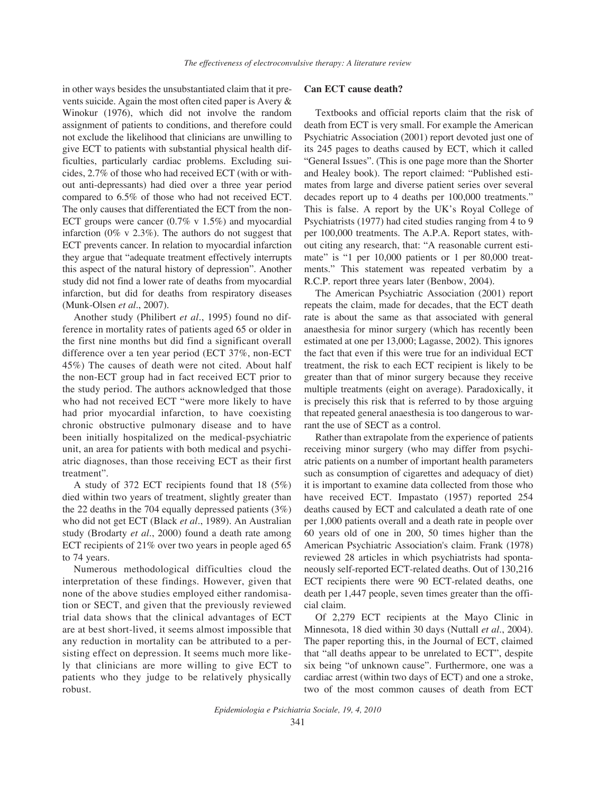in other ways besides the unsubstantiated claim that it prevents suicide. Again the most often cited paper is Avery & Winokur (1976), which did not involve the random assignment of patients to conditions, and therefore could not exclude the likelihood that clinicians are unwilling to give ECT to patients with substantial physical health difficulties, particularly cardiac problems. Excluding suicides, 2.7% of those who had received ECT (with or without anti-depressants) had died over a three year period compared to 6.5% of those who had not received ECT. The only causes that differentiated the ECT from the non-ECT groups were cancer  $(0.7\% \text{ v } 1.5\%)$  and myocardial infarction (0% v 2.3%). The authors do not suggest that ECT prevents cancer. In relation to myocardial infarction they argue that "adequate treatment effectively interrupts this aspect of the natural history of depression". Another study did not find a lower rate of deaths from myocardial infarction, but did for deaths from respiratory diseases (Munk-Olsen *et al.*, 2007).

Another study (Philibert *et al.*, 1995) found no difference in mortality rates of patients aged 65 or older in the first nine months but did find a significant overall difference over a ten year period (ECT 37%, non-ECT 45%) The causes of death were not cited. About half the non-ECT group had in fact received ECT prior to the study period. The authors acknowledged that those who had not received ECT "were more likely to have had prior myocardial infarction, to have coexisting chronic obstructive pulmonary disease and to have been initially hospitalized on the medical-psychiatric unit, an area for patients with both medical and psychiatric diagnoses, than those receiving ECT as their first treatment".

A study of 372 ECT recipients found that 18 (5%) died within two years of treatment, slightly greater than the 22 deaths in the 704 equally depressed patients (3%) who did not get ECT (Black *et al.*, 1989). An Australian study (Brodarty *et al.*, 2000) found a death rate among ECT recipients of 21% over two years in people aged 65 to 74 years.

Numerous methodological difficulties cloud the interpretation of these findings. However, given that none of the above studies employed either randomisation or SECT, and given that the previously reviewed trial data shows that the clinical advantages of ECT are at best short-lived, it seems almost impossible that any reduction in mortality can be attributed to a persisting effect on depression. It seems much more likely that clinicians are more willing to give ECT to patients who they judge to be relatively physically robust.

## **Can ECT cause death?**

Textbooks and official reports claim that the risk of death from ECT is very small. For example the American Psychiatric Association (2001) report devoted just one of its 245 pages to deaths caused by ECT, which it called "General Issues". (This is one page more than the Shorter and Healey book). The report claimed: "Published estimates from large and diverse patient series over several decades report up to 4 deaths per 100,000 treatments." This is false. A report by the UK's Royal College of Psychiatrists (1977) had cited studies ranging from 4 to 9 per 100,000 treatments. The A.P.A. Report states, without citing any research, that: "A reasonable current estimate" is "1 per 10,000 patients or 1 per 80,000 treatments." This statement was repeated verbatim by a R.C.P. report three years later (Benbow, 2004).

The American Psychiatric Association (2001) report repeats the claim, made for decades, that the ECT death rate is about the same as that associated with general anaesthesia for minor surgery (which has recently been estimated at one per 13,000; Lagasse, 2002). This ignores the fact that even if this were true for an individual ECT treatment, the risk to each ECT recipient is likely to be greater than that of minor surgery because they receive multiple treatments (eight on average). Paradoxically, it is precisely this risk that is referred to by those arguing that repeated general anaesthesia is too dangerous to warrant the use of SECT as a control.

Rather than extrapolate from the experience of patients receiving minor surgery (who may differ from psychiatric patients on a number of important health parameters such as consumption of cigarettes and adequacy of diet) it is important to examine data collected from those who have received ECT. Impastato (1957) reported 254 deaths caused by ECT and calculated a death rate of one per 1,000 patients overall and a death rate in people over 60 years old of one in 200, 50 times higher than the American Psychiatric Association's claim. Frank (1978) reviewed 28 articles in which psychiatrists had spontaneously self-reported ECT-related deaths. Out of 130,216 ECT recipients there were 90 ECT-related deaths, one death per 1,447 people, seven times greater than the official claim.

Of 2,279 ECT recipients at the Mayo Clinic in Minnesota, 18 died within 30 days (Nuttall *et al.*, 2004). The paper reporting this, in the Journal of ECT, claimed that "all deaths appear to be unrelated to ECT", despite six being "of unknown cause". Furthermore, one was a cardiac arrest (within two days of ECT) and one a stroke, two of the most common causes of death from ECT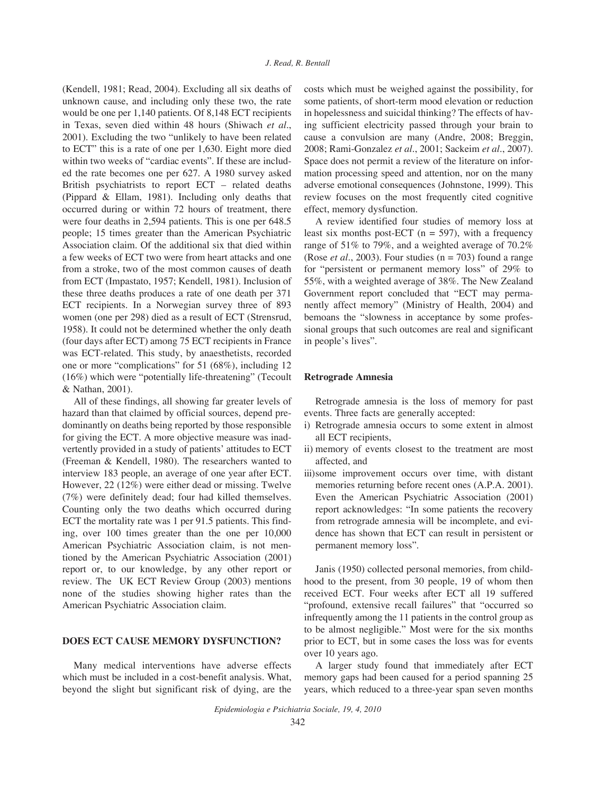(Kendell, 1981; Read, 2004). Excluding all six deaths of unknown cause, and including only these two, the rate would be one per 1,140 patients. Of 8,148 ECT recipients in Texas, seven died within 48 hours (Shiwach *et al.*, 2001). Excluding the two "unlikely to have been related to ECT" this is a rate of one per 1,630. Eight more died within two weeks of "cardiac events". If these are included the rate becomes one per 627. A 1980 survey asked British psychiatrists to report ECT – related deaths (Pippard & Ellam, 1981). Including only deaths that occurred during or within 72 hours of treatment, there were four deaths in 2,594 patients. This is one per 648.5 people; 15 times greater than the American Psychiatric Association claim. Of the additional six that died within a few weeks of ECT two were from heart attacks and one from a stroke, two of the most common causes of death from ECT (Impastato, 1957; Kendell, 1981). Inclusion of these three deaths produces a rate of one death per 371 ECT recipients. In a Norwegian survey three of 893 women (one per 298) died as a result of ECT (Strensrud, 1958). It could not be determined whether the only death (four days after ECT) among 75 ECT recipients in France was ECT-related. This study, by anaesthetists, recorded one or more "complications" for 51 (68%), including 12 (16%) which were "potentially life-threatening" (Tecoult & Nathan, 2001).

All of these findings, all showing far greater levels of hazard than that claimed by official sources, depend predominantly on deaths being reported by those responsible for giving the ECT. A more objective measure was inadvertently provided in a study of patients' attitudes to ECT (Freeman & Kendell, 1980). The researchers wanted to interview 183 people, an average of one year after ECT. However, 22 (12%) were either dead or missing. Twelve (7%) were definitely dead; four had killed themselves. Counting only the two deaths which occurred during ECT the mortality rate was 1 per 91.5 patients. This finding, over 100 times greater than the one per 10,000 American Psychiatric Association claim, is not mentioned by the American Psychiatric Association (2001) report or, to our knowledge, by any other report or review. The UK ECT Review Group (2003) mentions none of the studies showing higher rates than the American Psychiatric Association claim.

# **DOES ECT CAUSE MEMORY DYSFUNCTION?**

Many medical interventions have adverse effects which must be included in a cost-benefit analysis. What, beyond the slight but significant risk of dying, are the costs which must be weighed against the possibility, for some patients, of short-term mood elevation or reduction in hopelessness and suicidal thinking? The effects of having sufficient electricity passed through your brain to cause a convulsion are many (Andre, 2008; Breggin, 2008; Rami-Gonzalez *et al.*, 2001; Sackeim *et al.*, 2007). Space does not permit a review of the literature on information processing speed and attention, nor on the many adverse emotional consequences (Johnstone, 1999). This review focuses on the most frequently cited cognitive effect, memory dysfunction.

A review identified four studies of memory loss at least six months post-ECT ( $n = 597$ ), with a frequency range of 51% to 79%, and a weighted average of 70.2% (Rose *et al.*, 2003). Four studies ( $n = 703$ ) found a range for "persistent or permanent memory loss" of 29% to 55%, with a weighted average of 38%. The New Zealand Government report concluded that "ECT may permanently affect memory" (Ministry of Health, 2004) and bemoans the "slowness in acceptance by some professional groups that such outcomes are real and significant in people's lives".

## **Retrograde Amnesia**

Retrograde amnesia is the loss of memory for past events. Three facts are generally accepted:

- i) Retrograde amnesia occurs to some extent in almost all ECT recipients,
- ii) memory of events closest to the treatment are most affected, and
- iii)some improvement occurs over time, with distant memories returning before recent ones (A.P.A. 2001). Even the American Psychiatric Association (2001) report acknowledges: "In some patients the recovery from retrograde amnesia will be incomplete, and evidence has shown that ECT can result in persistent or permanent memory loss".

Janis (1950) collected personal memories, from childhood to the present, from 30 people, 19 of whom then received ECT. Four weeks after ECT all 19 suffered "profound, extensive recall failures" that "occurred so infrequently among the 11 patients in the control group as to be almost negligible." Most were for the six months prior to ECT, but in some cases the loss was for events over 10 years ago.

A larger study found that immediately after ECT memory gaps had been caused for a period spanning 25 years, which reduced to a three-year span seven months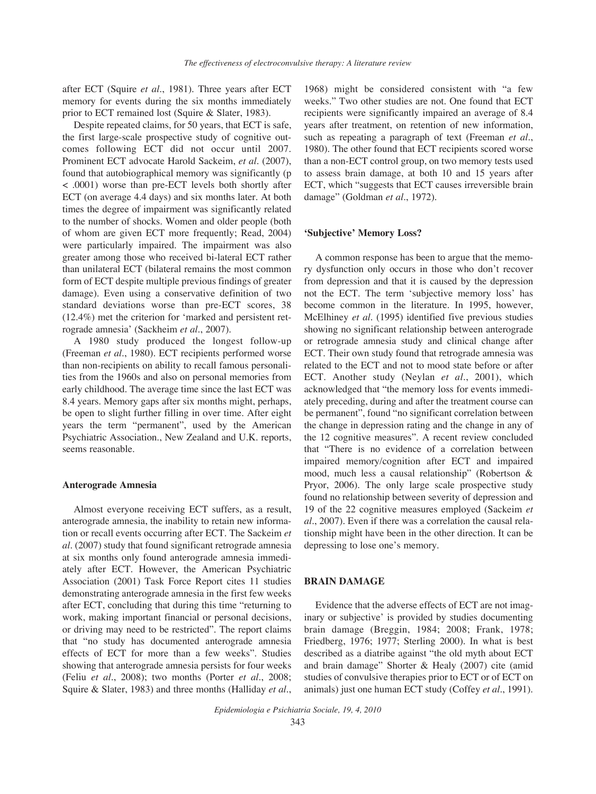after ECT (Squire *et al.*, 1981). Three years after ECT memory for events during the six months immediately prior to ECT remained lost (Squire & Slater, 1983).

Despite repeated claims, for 50 years, that ECT is safe, the first large-scale prospective study of cognitive outcomes following ECT did not occur until 2007. Prominent ECT advocate Harold Sackeim, *et al.* (2007), found that autobiographical memory was significantly (p < .0001) worse than pre-ECT levels both shortly after ECT (on average 4.4 days) and six months later. At both times the degree of impairment was significantly related to the number of shocks. Women and older people (both of whom are given ECT more frequently; Read, 2004) were particularly impaired. The impairment was also greater among those who received bi-lateral ECT rather than unilateral ECT (bilateral remains the most common form of ECT despite multiple previous findings of greater damage). Even using a conservative definition of two standard deviations worse than pre-ECT scores, 38 (12.4%) met the criterion for 'marked and persistent retrograde amnesia' (Sackheim *et al.*, 2007).

A 1980 study produced the longest follow-up (Freeman *et al.*, 1980). ECT recipients performed worse than non-recipients on ability to recall famous personalities from the 1960s and also on personal memories from early childhood. The average time since the last ECT was 8.4 years. Memory gaps after six months might, perhaps, be open to slight further filling in over time. After eight years the term "permanent", used by the American Psychiatric Association., New Zealand and U.K. reports, seems reasonable.

#### **Anterograde Amnesia**

Almost everyone receiving ECT suffers, as a result, anterograde amnesia, the inability to retain new information or recall events occurring after ECT. The Sackeim *et al.* (2007) study that found significant retrograde amnesia at six months only found anterograde amnesia immediately after ECT. However, the American Psychiatric Association (2001) Task Force Report cites 11 studies demonstrating anterograde amnesia in the first few weeks after ECT, concluding that during this time "returning to work, making important financial or personal decisions, or driving may need to be restricted". The report claims that "no study has documented anterograde amnesia effects of ECT for more than a few weeks". Studies showing that anterograde amnesia persists for four weeks (Feliu *et al.*, 2008); two months (Porter *et al.*, 2008; Squire & Slater, 1983) and three months (Halliday *et al.*,

1968) might be considered consistent with "a few weeks." Two other studies are not. One found that ECT recipients were significantly impaired an average of 8.4 years after treatment, on retention of new information, such as repeating a paragraph of text (Freeman *et al.*, 1980). The other found that ECT recipients scored worse than a non-ECT control group, on two memory tests used to assess brain damage, at both 10 and 15 years after ECT, which "suggests that ECT causes irreversible brain damage" (Goldman *et al.*, 1972).

#### **'Subjective' Memory Loss?**

A common response has been to argue that the memory dysfunction only occurs in those who don't recover from depression and that it is caused by the depression not the ECT. The term 'subjective memory loss' has become common in the literature. In 1995, however, McElhiney *et al.* (1995) identified five previous studies showing no significant relationship between anterograde or retrograde amnesia study and clinical change after ECT. Their own study found that retrograde amnesia was related to the ECT and not to mood state before or after ECT. Another study (Neylan *et al.*, 2001), which acknowledged that "the memory loss for events immediately preceding, during and after the treatment course can be permanent", found "no significant correlation between the change in depression rating and the change in any of the 12 cognitive measures". A recent review concluded that "There is no evidence of a correlation between impaired memory/cognition after ECT and impaired mood, much less a causal relationship" (Robertson & Pryor, 2006). The only large scale prospective study found no relationship between severity of depression and 19 of the 22 cognitive measures employed (Sackeim *et al.*, 2007). Even if there was a correlation the causal relationship might have been in the other direction. It can be depressing to lose one's memory.

#### **BRAIN DAMAGE**

Evidence that the adverse effects of ECT are not imaginary or subjective' is provided by studies documenting brain damage (Breggin, 1984; 2008; Frank, 1978; Friedberg, 1976; 1977; Sterling 2000). In what is best described as a diatribe against "the old myth about ECT and brain damage" Shorter & Healy (2007) cite (amid studies of convulsive therapies prior to ECT or of ECT on animals) just one human ECT study (Coffey *et al.*, 1991).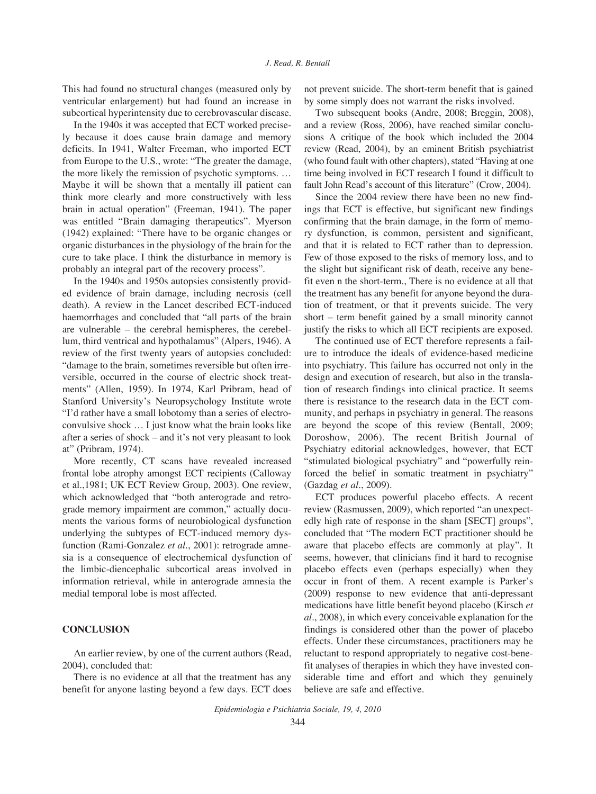This had found no structural changes (measured only by ventricular enlargement) but had found an increase in subcortical hyperintensity due to cerebrovascular disease.

In the 1940s it was accepted that ECT worked precisely because it does cause brain damage and memory deficits. In 1941, Walter Freeman, who imported ECT from Europe to the U.S., wrote: "The greater the damage, the more likely the remission of psychotic symptoms. … Maybe it will be shown that a mentally ill patient can think more clearly and more constructively with less brain in actual operation" (Freeman, 1941). The paper was entitled "Brain damaging therapeutics". Myerson (1942) explained: "There have to be organic changes or organic disturbances in the physiology of the brain for the cure to take place. I think the disturbance in memory is probably an integral part of the recovery process".

In the 1940s and 1950s autopsies consistently provided evidence of brain damage, including necrosis (cell death). A review in the Lancet described ECT-induced haemorrhages and concluded that "all parts of the brain are vulnerable – the cerebral hemispheres, the cerebellum, third ventrical and hypothalamus" (Alpers, 1946). A review of the first twenty years of autopsies concluded: "damage to the brain, sometimes reversible but often irreversible, occurred in the course of electric shock treatments" (Allen, 1959). In 1974, Karl Pribram, head of Stanford University's Neuropsychology Institute wrote "I'd rather have a small lobotomy than a series of electroconvulsive shock … I just know what the brain looks like after a series of shock – and it's not very pleasant to look at" (Pribram, 1974).

More recently, CT scans have revealed increased frontal lobe atrophy amongst ECT recipients (Calloway et al.,1981; UK ECT Review Group, 2003). One review, which acknowledged that "both anterograde and retrograde memory impairment are common," actually documents the various forms of neurobiological dysfunction underlying the subtypes of ECT-induced memory dysfunction (Rami-Gonzalez *et al.*, 2001): retrograde amnesia is a consequence of electrochemical dysfunction of the limbic-diencephalic subcortical areas involved in information retrieval, while in anterograde amnesia the medial temporal lobe is most affected.

## **CONCLUSION**

An earlier review, by one of the current authors (Read, 2004), concluded that:

There is no evidence at all that the treatment has any benefit for anyone lasting beyond a few days. ECT does not prevent suicide. The short-term benefit that is gained by some simply does not warrant the risks involved.

Two subsequent books (Andre, 2008; Breggin, 2008), and a review (Ross, 2006), have reached similar conclusions A critique of the book which included the 2004 review (Read, 2004), by an eminent British psychiatrist (who found fault with other chapters), stated "Having at one time being involved in ECT research I found it difficult to fault John Read's account of this literature" (Crow, 2004).

Since the 2004 review there have been no new findings that ECT is effective, but significant new findings confirming that the brain damage, in the form of memory dysfunction, is common, persistent and significant, and that it is related to ECT rather than to depression. Few of those exposed to the risks of memory loss, and to the slight but significant risk of death, receive any benefit even n the short-term., There is no evidence at all that the treatment has any benefit for anyone beyond the duration of treatment, or that it prevents suicide. The very short – term benefit gained by a small minority cannot justify the risks to which all ECT recipients are exposed.

The continued use of ECT therefore represents a failure to introduce the ideals of evidence-based medicine into psychiatry. This failure has occurred not only in the design and execution of research, but also in the translation of research findings into clinical practice. It seems there is resistance to the research data in the ECT community, and perhaps in psychiatry in general. The reasons are beyond the scope of this review (Bentall, 2009; Doroshow, 2006). The recent British Journal of Psychiatry editorial acknowledges, however, that ECT "stimulated biological psychiatry" and "powerfully reinforced the belief in somatic treatment in psychiatry" (Gazdag *et al.*, 2009).

ECT produces powerful placebo effects. A recent review (Rasmussen, 2009), which reported "an unexpectedly high rate of response in the sham [SECT] groups", concluded that "The modern ECT practitioner should be aware that placebo effects are commonly at play". It seems, however, that clinicians find it hard to recognise placebo effects even (perhaps especially) when they occur in front of them. A recent example is Parker's (2009) response to new evidence that anti-depressant medications have little benefit beyond placebo (Kirsch *et al.*, 2008), in which every conceivable explanation for the findings is considered other than the power of placebo effects. Under these circumstances, practitioners may be reluctant to respond appropriately to negative cost-benefit analyses of therapies in which they have invested considerable time and effort and which they genuinely believe are safe and effective.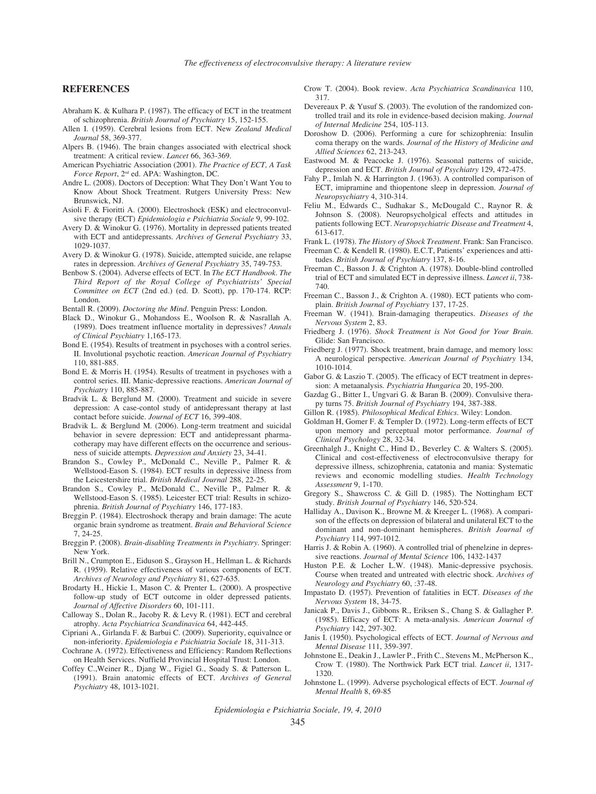#### **REFERENCES**

- Abraham K. & Kulhara P. (1987). The efficacy of ECT in the treatment of schizophrenia. *British Journal of Psychiatry* 15, 152-155.
- Allen I. (1959). Cerebral lesions from ECT. New *Zealand Medical Journal* 58, 369-377.
- Alpers B. (1946). The brain changes associated with electrical shock treatment: A critical review. *Lancet* 66, 363-369.
- American Psychiatric Association (2001). *The Practice of ECT, A Task Force Report*, 2nd ed. APA: Washington, DC.
- Andre L. (2008). Doctors of Deception: What They Don't Want You to Know About Shock Treatment. Rutgers University Press: New Brunswick, NJ.
- Asioli F. & Fioritti A. (2000). Electroshock (ESK) and electroconvulsive therapy (ECT) *Epidemiologia e Psichiatria Sociale* 9, 99-102.
- Avery D. & Winokur G. (1976). Mortality in depressed patients treated with ECT and antidepressants. *Archives of General Psychiatry* 33, 1029-1037.
- Avery D. & Winokur G. (1978). Suicide, attempted suicide, ane relapse rates in depression. *Archives of General Psychiatry* 35, 749-753.
- Benbow S. (2004). Adverse effects of ECT. In *The ECT Handbook. The Third Report of the Royal College of Psychiatrists' Special Committee on ECT* (2nd ed.) (ed. D. Scott), pp. 170-174. RCP: London.
- Bentall R. (2009). *Doctoring the Mind*. Penguin Press: London.
- Black D., Winokur G., Mohandoss E., Woolson R. & Nasrallah A. (1989). Does treatment influence mortality in depressives? *Annals of Clinical Psychiatry* 1,165-173.
- Bond E. (1954). Results of treatment in psychoses with a control series. II. Involutional psychotic reaction. *American Journal of Psychiatry* 110, 881-885.
- Bond E. & Morris H. (1954). Results of treatment in psychoses with a control series. III. Manic-depressive reactions. *American Journal of Psychiatry* 110, 885-887.
- Bradvik L. & Berglund M. (2000). Treatment and suicide in severe depression: A case-contol study of antidepressant therapy at last contact before suicide. *Journal of ECT* 16, 399-408.
- Bradvik L. & Berglund M. (2006). Long-term treatment and suicidal behavior in severe depression: ECT and antidepressant pharmacotherapy may have different effects on the occurrence and seriousness of suicide attempts. *Depression and Anxiety* 23, 34-41.
- Brandon S., Cowley P., McDonald C., Neville P., Palmer R. & Wellstood-Eason S. (1984). ECT results in depressive illness from the Leicestershire trial. *British Medical Journal* 288, 22-25.
- Brandon S., Cowley P., McDonald C., Neville P., Palmer R. & Wellstood-Eason S. (1985). Leicester ECT trial: Results in schizophrenia. *British Journal of Psychiatry* 146, 177-183.
- Breggin P. (1984). Electroshock therapy and brain damage: The acute organic brain syndrome as treatment. *Brain and Behavioral Science* 7, 24-25.
- Breggin P. (2008). *Brain-disabling Treatments in Psychiatry*. Springer: New York.
- Brill N., Crumpton E., Eiduson S., Grayson H., Hellman L. & Richards R. (1959). Relative effectiveness of various components of ECT. *Archives of Neurology and Psychiatry* 81, 627-635.
- Brodarty H., Hickie I., Mason C. & Prenter L. (2000). A prospective follow-up study of ECT outcome in older depressed patients. *Journal of Affective Disorders* 60, 101-111.
- Calloway S., Dolan R., Jacoby R. & Levy R. (1981). ECT and cerebral atrophy. *Acta Psychiatrica Scandinavica* 64, 442-445.
- Cipriani A., Girlanda F. & Barbui C. (2009). Superiority, equivalnce or non-inferiority. *Epidemiologia e Psichiatria Sociale* 18, 311-313.
- Cochrane A. (1972). Effectiveness and Efficiency: Random Reflections on Health Services. Nuffield Provincial Hospital Trust: London.
- Coffey C.,Weiner R., Djang W., Figiel G., Soady S. & Patterson L. (1991). Brain anatomic effects of ECT. *Archives of General Psychiatry* 48, 1013-1021.
- Crow T. (2004). Book review. *Acta Psychiatrica Scandinavica* 110, 317.
- Devereaux P. & Yusuf S. (2003). The evolution of the randomized controlled trail and its role in evidence-based decision making. *Journal of Internal Medicine* 254, 105-113.
- Doroshow D. (2006). Performing a cure for schizophrenia: Insulin coma therapy on the wards. *Journal of the History of Medicine and Allied Sciences* 62, 213-243.
- Eastwood M. & Peacocke J. (1976). Seasonal patterns of suicide, depression and ECT. *British Journal of Psychiatry* 129, 472-475.
- Fahy P., Imlah N. & Harrington J. (1963). A controlled comparison of ECT, imipramine and thiopentone sleep in depression. *Journal of Neuropsychiatry* 4, 310-314.
- Feliu M., Edwards C., Sudhakar S., McDougald C., Raynor R. & Johnson S. (2008). Neuropsycholgical effects and attitudes in patients following ECT. *Neuropsychiatric Disease and Treatment* 4, 613-617.
- Frank L. (1978). *The History of Shock Treatment*. Frank: San Francisco.
- Freeman C. & Kendell R. (1980). E.C.T, Patients' experiences and attitudes. *British Journal of Psychiatry* 137, 8-16.
- Freeman C., Basson J. & Crighton A. (1978). Double-blind controlled trial of ECT and simulated ECT in depressive illness. *Lancet ii*, 738- 740.
- Freeman C., Basson J., & Crighton A. (1980). ECT patients who complain. *British Journal of Psychiatry* 137, 17-25.
- Freeman W. (1941). Brain-damaging therapeutics. *Diseases of the Nervous System* 2, 83.
- Friedberg J. (1976). *Shock Treatment is Not Good for Your Brain*. Glide: San Francisco.
- Friedberg J. (1977). Shock treatment, brain damage, and memory loss: A neurological perspective. *American Journal of Psychiatry* 134, 1010-1014.
- Gabor G. & Laszio T. (2005). The efficacy of ECT treatment in depression: A metaanalysis. *Psychiatria Hungarica* 20, 195-200.
- Gazdag G., Bitter I., Ungvari G. & Baran B. (2009). Convulsive therapy turns 75. *British Journal of Psychiatry* 194, 387-388.
- Gillon R. (1985). *Philosophical Medical Ethics*. Wiley: London.
- Goldman H, Gomer F. & Templer D. (1972). Long-term effects of ECT upon memory and perceptual motor performance. *Journal of Clinical Psychology* 28, 32-34.
- Greenhalgh J., Knight C., Hind D., Beverley C. & Walters S. (2005). Clinical and cost-effectiveness of electroconvulsive therapy for depressive illness, schizophrenia, catatonia and mania: Systematic reviews and economic modelling studies. *Health Technology Assessment* 9, 1-170.
- Gregory S., Shawcross C. & Gill D. (1985). The Nottingham ECT study. *British Journal of Psychiatry* 146, 520-524.
- Halliday A., Davison K., Browne M. & Kreeger L. (1968). A comparison of the effects on depression of bilateral and unilateral ECT to the dominant and non-dominant hemispheres. *British Journal of Psychiatry* 114, 997-1012.
- Harris J. & Robin A. (1960). A controlled trial of phenelzine in depressive reactions. *Journal of Mental Science* 106, 1432-1437
- Huston P.E. & Locher L.W. (1948). Manic-depressive psychosis. Course when treated and untreated with electric shock. *Archives of Neurology and Psychiatry* 60, :37-48.
- Impastato D. (1957). Prevention of fatalities in ECT. *Diseases of the Nervous System* 18, 34-75.
- Janicak P., Davis J., Gibbons R., Eriksen S., Chang S. & Gallagher P. (1985). Efficacy of ECT: A meta-analysis. *American Journal of Psychiatry* 142, 297-302.
- Janis I. (1950). Psychological effects of ECT. *Journal of Nervous and Mental Disease* 111, 359-397.
- Johnstone E., Deakin J., Lawler P., Frith C., Stevens M., McPherson K., Crow T. (1980). The Northwick Park ECT trial. *Lancet ii*, 1317- 1320.
- Johnstone L. (1999). Adverse psychological effects of ECT. *Journal of Mental Health* 8, 69-85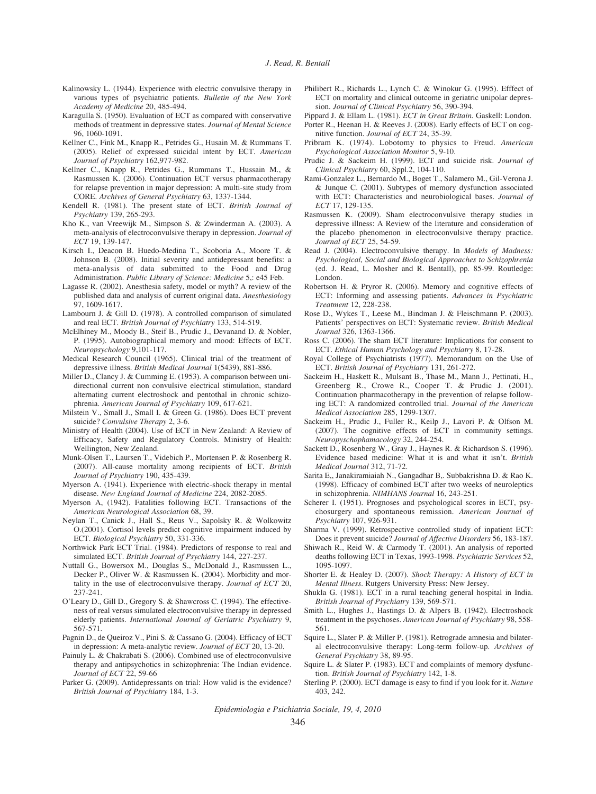- Kalinowsky L. (1944). Experience with electric convulsive therapy in various types of psychiatric patients. *Bulletin of the New York Academy of Medicine* 20, 485-494.
- Karagulla S. (1950). Evaluation of ECT as compared with conservative methods of treatment in depressive states. *Journal of Mental Science* 96, 1060-1091.
- Kellner C., Fink M., Knapp R., Petrides G., Husain M. & Rummans T. (2005). Relief of expressed suicidal intent by ECT. *American Journal of Psychiatry* 162,977-982.
- Kellner C., Knapp R., Petrides G., Rummans T., Hussain M., & Rasmussen K. (2006). Continuation ECT versus pharmacotherapy for relapse prevention in major depression: A multi-site study from CORE. *Archives of General Psychiatry* 63, 1337-1344.
- Kendell R. (1981). The present state of ECT. *British Journal of Psychiatry* 139, 265-293.
- Kho K., van Vreewijk M., Simpson S. & Zwinderman A. (2003). A meta-analysis of electroconvulsive therapy in depression. *Journal of ECT* 19, 139-147.
- Kirsch I., Deacon B. Huedo-Medina T., Scoboria A., Moore T. & Johnson B. (2008). Initial severity and antidepressant benefits: a meta-analysis of data submitted to the Food and Drug Administration. *Public Library of Science: Medicine* 5,: e45 Feb.
- Lagasse R. (2002). Anesthesia safety, model or myth? A review of the published data and analysis of current original data. *Anesthesiology* 97, 1609-1617.
- Lambourn J. & Gill D. (1978). A controlled comparison of simulated and real ECT. *British Journal of Psychiatry* 133, 514-519.
- McElhiney M., Moody B., Steif B., Prudic J., Devanand D. & Nobler, P. (1995). Autobiographical memory and mood: Effects of ECT. *Neuropsychology* 9,101-117.
- Medical Research Council (1965). Clinical trial of the treatment of depressive illness. *British Medical Journal* 1(5439), 881-886.
- Miller D., Clancy J. & Cumming E. (1953). A comparison between unidirectional current non convulsive electrical stimulation, standard alternating current electroshock and pentothal in chronic schizophrenia. *American Journal of Psychiatry* 109, 617-621.
- Milstein V., Small J., Small I. & Green G. (1986). Does ECT prevent suicide? *Convulsive Therapy* 2, 3-6.
- Ministry of Health (2004). Use of ECT in New Zealand: A Review of Efficacy, Safety and Regulatory Controls. Ministry of Health: Wellington, New Zealand.
- Munk-Olsen T., Laursen T., Videbich P., Mortensen P. & Rosenberg R. (2007). All-cause mortality among recipients of ECT. *British Journal of Psychiatry* 190, 435-439.
- Myerson A. (1941). Experience with electric-shock therapy in mental disease. *New England Journal of Medicine* 224, 2082-2085.
- Myerson A, (1942). Fatalities following ECT. Transactions of the *American Neurological Association* 68, 39.
- Neylan T., Canick J., Hall S., Reus V., Sapolsky R. & Wolkowitz O.(2001). Cortisol levels predict cognitive impairment induced by ECT. *Biological Psychiatry* 50, 331-336.
- Northwick Park ECT Trial. (1984). Predictors of response to real and simulated ECT. *British Journal of Psychiatry* 144, 227-237.
- Nuttall G., Bowersox M., Douglas S., McDonald J., Rasmussen L., Decker P., Oliver W. & Rasmussen K. (2004). Morbidity and mortality in the use of electroconvulsive therapy. *Journal of ECT* 20, 237-241.
- O'Leary D., Gill D., Gregory S. & Shawcross C. (1994). The effectiveness of real versus simulated electroconvulsive therapy in depressed elderly patients. *International Journal of Geriatric Psychiatry* 9, 567-571.
- Pagnin D., de Queiroz V., Pini S. & Cassano G. (2004). Efficacy of ECT in depression: A meta-analytic review. *Journal of ECT* 20, 13-20.
- Painuly L. & Chakrabati S. (2006). Combined use of electroconvulsive therapy and antipsychotics in schizophrenia: The Indian evidence. *Journal of ECT* 22, 59-66
- Parker G. (2009). Antidepressants on trial: How valid is the evidence? *British Journal of Psychiatry* 184, 1-3.
- Philibert R., Richards L., Lynch C. & Winokur G. (1995). Efffect of ECT on mortality and clinical outcome in geriatric unipolar depression. *Journal of Clinical Psychiatry* 56, 390-394.
- Pippard J. & Ellam L. (1981). *ECT in Great Britain*. Gaskell: London.
- Porter R., Heenan H. & Reeves J. (2008). Early effects of ECT on cognitive function. *Journal of ECT* 24, 35-39.
- Pribram K. (1974). Lobotomy to physics to Freud. *American Psychological Association Monitor* 5, 9-10.
- Prudic J. & Sackeim H. (1999). ECT and suicide risk. *Journal of Clinical Psychiatry* 60, Sppl.2, 104-110.
- Rami-Gonzalez L., Bernardo M., Boget T., Salamero M., Gil-Verona J. & Junque C. (2001). Subtypes of memory dysfunction associated with ECT: Characteristics and neurobiological bases. *Journal of ECT* 17, 129-135.
- Rasmussen K. (2009). Sham electroconvulsive therapy studies in depressive illness: A Review of the literature and consideration of the placebo phenomenon in electroconvulsive therapy practice. *Journal of ECT* 25, 54-59.
- Read J. (2004). Electroconvulsive therapy. In *Models of Madness: Psychological, Social and Biological Approaches to Schizophrenia* (ed. J. Read, L. Mosher and R. Bentall), pp. 85-99. Routledge: London.
- Robertson H. & Pryror R. (2006). Memory and cognitive effects of ECT: Informing and assessing patients. *Advances in Psychiatric Treatment* 12, 228-238.
- Rose D., Wykes T., Leese M., Bindman J. & Fleischmann P. (2003). Patients' perspectives on ECT: Systematic review. *British Medical Journal* 326, 1363-1366.
- Ross C. (2006). The sham ECT literature: Implications for consent to ECT. *Ethical Human Psychology and Psychiatry* 8, 17-28.
- Royal College of Psychiatrists (1977). Memorandum on the Use of ECT. *British Journal of Psychiatry* 131, 261-272.
- Sackeim H., Haskett R., Mulsant B., Thase M., Mann J., Pettinati, H., Greenberg R., Crowe R., Cooper T. & Prudic J. (2001). Continuation pharmacotherapy in the prevention of relapse following ECT: A randomized controlled trial. *Journal of the American Medical Association* 285, 1299-1307.
- Sackeim H., Prudic J., Fuller R., Keilp J., Lavori P. & Olfson M. (2007). The cognitive effects of ECT in community settings. *Neuropyschophamacology* 32, 244-254.
- Sackett D., Rosenberg W., Gray J., Haynes R. & Richardson S. (1996). Evidence based medicine: What it is and what it isn't. *British Medical Journal* 312, 71-72.
- Sarita E,, Janakiramiaiah N., Gangadhar B,. Subbakrishna D. & Rao K. (1998). Efficacy of combined ECT after two weeks of neuroleptics in schizophrenia. *NIMHANS Journal* 16, 243-251.
- Scherer I. (1951). Prognoses and psychological scores in ECT, psychosurgery and spontaneous remission. *American Journal of Psychiatry* 107, 926-931.
- Sharma V. (1999). Retrospective controlled study of inpatient ECT: Does it prevent suicide? *Journal of Affective Disorders* 56, 183-187.
- Shiwach R., Reid W. & Carmody T. (2001). An analysis of reported deaths following ECT in Texas, 1993-1998. *Psychiatric Services* 52, 1095-1097.
- Shorter E. & Healey D. (2007). *Shock Therapy: A History of ECT in Mental Illness*. Rutgers University Press: New Jersey.
- Shukla G. (1981). ECT in a rural teaching general hospital in India. *British Journal of Psychiatry* 139, 569-571.
- Smith L., Hughes J., Hastings D. & Alpers B. (1942). Electroshock treatment in the psychoses. *American Journal of Psychiatry* 98, 558- 561.
- Squire L., Slater P. & Miller P. (1981). Retrograde amnesia and bilateral electroconvulsive therapy: Long-term follow-up. *Archives of General Psychiatry* 38, 89-95.
- Squire L. & Slater P. (1983). ECT and complaints of memory dysfunction. *British Journal of Psychiatry* 142, 1-8.
- Sterling P. (2000). ECT damage is easy to find if you look for it. *Nature* 403, 242.